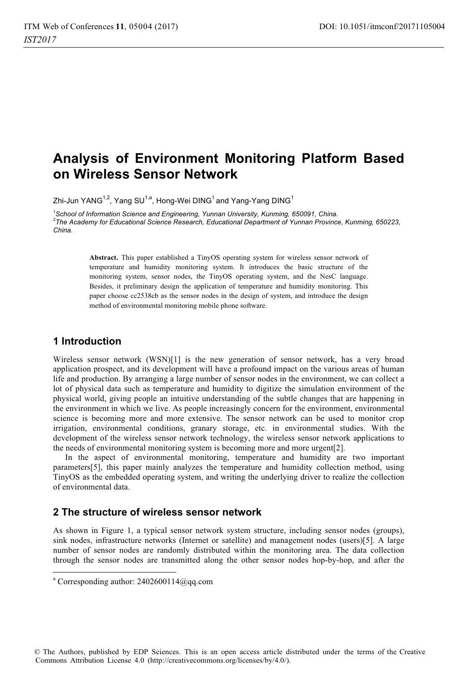# **Analysis of Environment Monitoring Platform Based on Wireless Sensor Network**

Zhi-Jun YANG<sup>1,2</sup>, Yang SU<sup>1,a</sup>, Hong-Wei DING<sup>1</sup> and Yang-Yang DING<sup>1</sup>

<sup>1</sup>School of Information Science and Engineering, Yunnan University, Kunming, 650091, China. 'School of Information Science and Engineering, Yunnan University, Kunming, 650091, China.<br><sup>2</sup>The Academy for Educational Science Research, Educational Department of Yunnan Province, Kunming, 650223, *China.* 

> **Abstract.** This paper established a TinyOS operating system for wireless sensor network of temperature and humidity monitoring system. It introduces the basic structure of the monitoring system, sensor nodes, the TinyOS operating system, and the NesC language. Besides, it preliminary design the application of temperature and humidity monitoring. This paper choose cc2538cb as the sensor nodes in the design of system, and introduce the design method of environmental monitoring mobile phone software.

# **1 Introduction**

-------------------------------------

Wireless sensor network (WSN)[1] is the new generation of sensor network, has a very broad application prospect, and its development will have a profound impact on the various areas of human life and production. By arranging a large number of sensor nodes in the environment, we can collect a lot of physical data such as temperature and humidity to digitize the simulation environment of the physical world, giving people an intuitive understanding of the subtle changes that are happening in the environment in which we live. As people increasingly concern for the environment, environmental science is becoming more and more extensive. The sensor network can be used to monitor crop irrigation, environmental conditions, granary storage, etc. in environmental studies. With the development of the wireless sensor network technology, the wireless sensor network applications to the needs of environmental monitoring system is becoming more and more urgent[2].

In the aspect of environmental monitoring, temperature and humidity are two important parameters[5], this paper mainly analyzes the temperature and humidity collection method, using TinyOS as the embedded operating system, and writing the underlying driver to realize the collection of environmental data.

# **2 The structure of wireless sensor network**

As shown in Figure 1, a typical sensor network system structure, including sensor nodes (groups), sink nodes, infrastructure networks (Internet or satellite) and management nodes (users)[5]. A large number of sensor nodes are randomly distributed within the monitoring area. The data collection through the sensor nodes are transmitted along the other sensor nodes hop-by-hop, and after the

-------------------

<sup>-</sup>-- -a Corresponding author: 2402600114@qq.com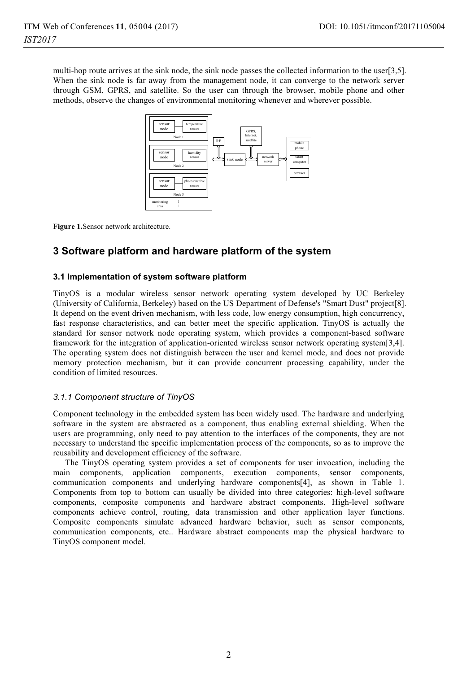multi-hop route arrives at the sink node, the sink node passes the collected information to the user[3,5]. When the sink node is far away from the management node, it can converge to the network server through GSM, GPRS, and satellite. So the user can through the browser, mobile phone and other methods, observe the changes of environmental monitoring whenever and wherever possible.



**Figure 1.**Sensor network architecture.

# **3 Software platform and hardware platform of the system**

### **3.1 Implementation of system software platform**

TinyOS is a modular wireless sensor network operating system developed by UC Berkeley (University of California, Berkeley) based on the US Department of Defense's "Smart Dust" project[8]. It depend on the event driven mechanism, with less code, low energy consumption, high concurrency, fast response characteristics, and can better meet the specific application. TinyOS is actually the standard for sensor network node operating system, which provides a component-based software framework for the integration of application-oriented wireless sensor network operating system[3,4]. The operating system does not distinguish between the user and kernel mode, and does not provide memory protection mechanism, but it can provide concurrent processing capability, under the condition of limited resources.

### *3.1.1 Component structure of TinyOS*

Component technology in the embedded system has been widely used. The hardware and underlying software in the system are abstracted as a component, thus enabling external shielding. When the users are programming, only need to pay attention to the interfaces of the components, they are not necessary to understand the specific implementation process of the components, so as to improve the reusability and development efficiency of the software.

The TinyOS operating system provides a set of components for user invocation, including the main components, application components, execution components, sensor components, communication components and underlying hardware components[4], as shown in Table 1. Components from top to bottom can usually be divided into three categories: high-level software components, composite components and hardware abstract components. High-level software components achieve control, routing, data transmission and other application layer functions. Composite components simulate advanced hardware behavior, such as sensor components, communication components, etc.. Hardware abstract components map the physical hardware to TinyOS component model.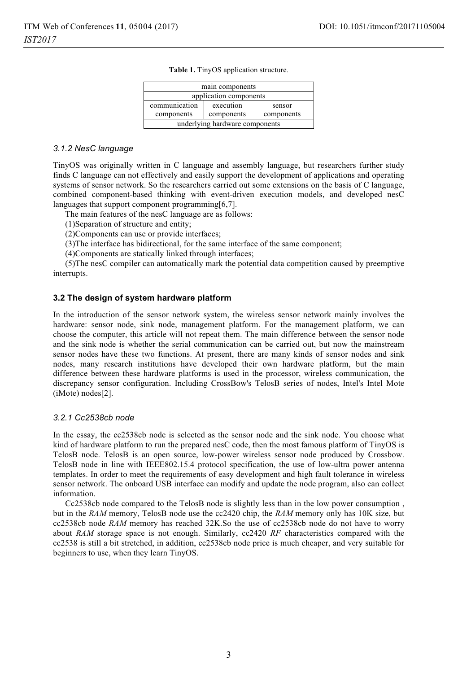| main components                |            |            |  |
|--------------------------------|------------|------------|--|
| application components         |            |            |  |
| communication                  | execution  | sensor     |  |
| components                     | components | components |  |
| underlying hardware components |            |            |  |

**Table 1.** TinyOS application structure.

#### *3.1.2 NesC language*

TinyOS was originally written in C language and assembly language, but researchers further study finds C language can not effectively and easily support the development of applications and operating systems of sensor network. So the researchers carried out some extensions on the basis of C language, combined component-based thinking with event-driven execution models, and developed nesC languages that support component programming[6,7].

The main features of the nesC language are as follows:

(1)Separation of structure and entity;

(2)Components can use or provide interfaces;

(3)The interface has bidirectional, for the same interface of the same component;

(4)Components are statically linked through interfaces;

(5)The nesC compiler can automatically mark the potential data competition caused by preemptive interrupts.

### **3.2 The design of system hardware platform**

In the introduction of the sensor network system, the wireless sensor network mainly involves the hardware: sensor node, sink node, management platform. For the management platform, we can choose the computer, this article will not repeat them. The main difference between the sensor node and the sink node is whether the serial communication can be carried out, but now the mainstream sensor nodes have these two functions. At present, there are many kinds of sensor nodes and sink nodes, many research institutions have developed their own hardware platform, but the main difference between these hardware platforms is used in the processor, wireless communication, the discrepancy sensor configuration. Including CrossBow's TelosB series of nodes, Intel's Intel Mote (iMote) nodes[2].

### *3.2.1 Cc2538cb node*

In the essay, the cc2538cb node is selected as the sensor node and the sink node. You choose what kind of hardware platform to run the prepared nesC code, then the most famous platform of TinyOS is TelosB node. TelosB is an open source, low-power wireless sensor node produced by Crossbow. TelosB node in line with IEEE802.15.4 protocol specification, the use of low-ultra power antenna templates. In order to meet the requirements of easy development and high fault tolerance in wireless sensor network. The onboard USB interface can modify and update the node program, also can collect information.

Cc2538cb node compared to the TelosB node is slightly less than in the low power consumption , but in the *RAM* memory, TelosB node use the cc2420 chip, the *RAM* memory only has 10K size, but cc2538cb node *RAM* memory has reached 32K.So the use of cc2538cb node do not have to worry about *RAM* storage space is not enough. Similarly, cc2420 *RF* characteristics compared with the cc2538 is still a bit stretched, in addition, cc2538cb node price is much cheaper, and very suitable for beginners to use, when they learn TinyOS.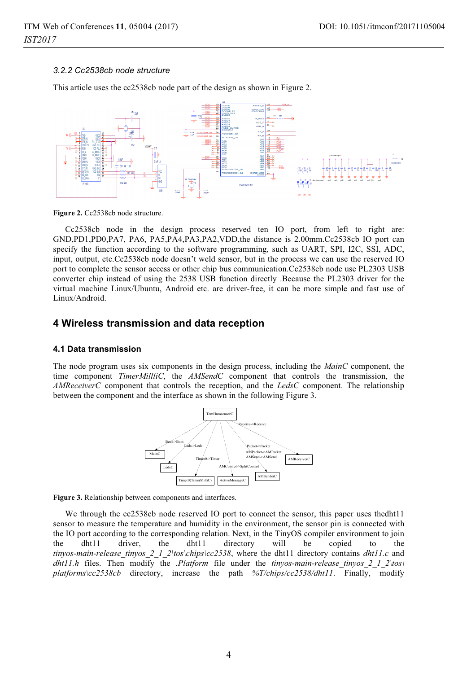### *3.2.2 Cc2538cb node structure*

This article uses the cc2538cb node part of the design as shown in Figure 2.



Figure 2. Cc2538cb node structure.

Cc2538cb node in the design process reserved ten IO port, from left to right are: GND,PD1,PD0,PA7, PA6, PA5,PA4,PA3,PA2,VDD,the distance is 2.00mm.Cc2538cb IO port can specify the function according to the software programming, such as UART, SPI, I2C, SSI, ADC, input, output, etc.Cc2538cb node doesn't weld sensor, but in the process we can use the reserved IO port to complete the sensor access or other chip bus communication.Cc2538cb node use PL2303 USB converter chip instead of using the 2538 USB function directly .Because the PL2303 driver for the virtual machine Linux/Ubuntu, Android etc. are driver-free, it can be more simple and fast use of Linux/Android.

### **4 Wireless transmission and data reception**

### **4.1 Data transmission**

The node program uses six components in the design process, including the *MainC* component, the time component *TimerMillliC*, the *AMSendC* component that controls the transmission, the *AMReceiverC* component that controls the reception, and the *LedsC* component. The relationship between the component and the interface as shown in the following Figure 3.



**Figure 3.** Relationship between components and interfaces.

We through the cc2538cb node reserved IO port to connect the sensor, this paper uses thedht11 sensor to measure the temperature and humidity in the environment, the sensor pin is connected with the IO port according to the corresponding relation. Next, in the TinyOS compiler environment to join<br>the dht11 driver, the dht11 directory will be copied to the the dht11 driver, the dht11 directory will be copied to the *tinyos-main-release\_tinyos\_2\_1\_2\tos\chips\cc2538*, where the dht11 directory contains *dht11.c* and *dht11.h* files. Then modify the *.Platform* file under the *tinyos-main-release\_tinyos\_2\_1\_2\tos\ platforms\cc2538cb* directory, increase the path *%T/chips/cc2538/dht11*. Finally, modify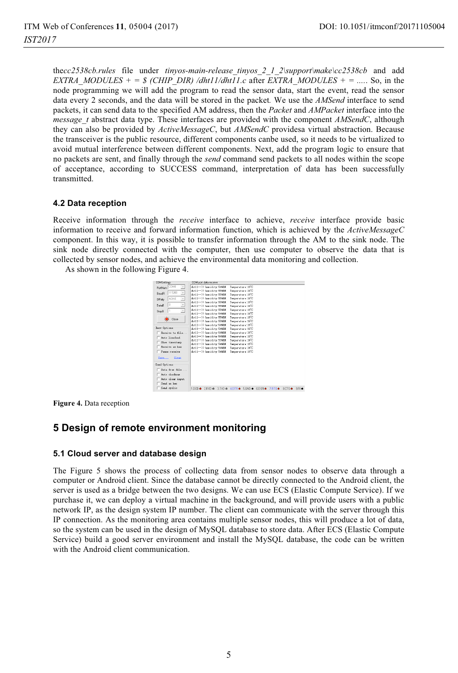the*cc2538cb.rules* file under *tinyos-main-release\_tinyos\_2\_1\_2\support\make\cc2538cb* and add *EXTRA\_MODULES + = \$ (CHIP\_DIR) /dht11/dht11.c after <i>EXTRA\_MODULES + = ....*. So, in the node programming we will add the program to read the sensor data, start the event, read the sensor data every 2 seconds, and the data will be stored in the packet*.* We use the *AMSend* interface to send packets, it can send data to the specified AM address, then the *Packet* and *AMPacket* interface into the *message* t abstract data type. These interfaces are provided with the component *AMSendC*, although they can also be provided by *ActiveMessageC*, but *AMSendC* providesa virtual abstraction. Because the transceiver is the public resource, different components canbe used, so it needs to be virtualized to avoid mutual interference between different components. Next, add the program logic to ensure that no packets are sent, and finally through the *send* command send packets to all nodes within the scope of acceptance, according to SUCCESS command, interpretation of data has been successfully transmitted.

### **4.2 Data reception**

Receive information through the *receive* interface to achieve, *receive* interface provide basic information to receive and forward information function, which is achieved by the *ActiveMessageC* component. In this way, it is possible to transfer information through the AM to the sink node. The sink node directly connected with the computer, then use computer to observe the data that is collected by sensor nodes, and achieve the environmental data monitoring and collection.

As shown in the following Figure 4.

| <b>COMSettings</b>                                 | COM port data receive                                    |                                                                                                       |
|----------------------------------------------------|----------------------------------------------------------|-------------------------------------------------------------------------------------------------------|
| PottNum COMS<br>$\mathbf x$                        | dht11 -- >> hunidity: 54%RH                              | Tennerature: 19 <sup>1</sup> C                                                                        |
| 115200<br>$\overline{\phantom{a}}$<br><b>BaudB</b> | dht11-->> hunidity:55%33                                 | Tennerature: 19 <sup>1</sup> C                                                                        |
|                                                    | dht11 -- >> hunidity: 55%BH                              | Tenperature: 19 <sup>'C</sup>                                                                         |
| NONE<br>$\overline{\phantom{a}}$<br>DPaity         | dht11-->> hunidity:55%RH                                 | Tennerature: 1970                                                                                     |
| g<br>$\overline{ }$<br>DataB                       | dht11-->> hunidity:55%33<br>dht11 -- >> hunidity: 55%331 | Tennerature: 19 <sup>1</sup> C<br>Tenperature: 19 <sup>'C</sup>                                       |
|                                                    | dht11 -- >> hunidity: 55%RH                              | Tennerature: 1970                                                                                     |
| $\mathbf{v}$<br>StopB                              | dht11 -- >> hunidity: 54%33                              | Tennerature: 19 <sup>1</sup> C                                                                        |
|                                                    | dht11 -- >> hunidity: 55%331                             | Tenperature: 19 <sup>'C</sup>                                                                         |
| Close                                              | dht11 -- >> hunidity: 55%EH                              | Temperature: 19 <sup>1</sup> C                                                                        |
|                                                    | dht11 -- >> hunidity: 54%38                              | Tennerature: 19 <sup>1</sup> C                                                                        |
| Recy Options                                       | dht11 -- >> hunidity: 54%38                              | Tenperature: 19 <sup>'C</sup>                                                                         |
| Receive to file                                    | dht11 -- >> hunidity: 54%RM                              | Teaperature: 1970                                                                                     |
| Auto linefeed                                      | dht11 -- >> hunidity: 54%38                              | Tennerature: 19 <sup>°C</sup>                                                                         |
| Show timestamp                                     | dht11 -- >> hunidity: 53%331                             | Tenperature: 19 <sup>'C</sup>                                                                         |
| Receive at her                                     | dht11 -- >> hunidity: 54%RM                              | Teaperature: 1970                                                                                     |
|                                                    | dht11 -- >> hunidity: 54%38                              | Temperature: 19 <sup>°C</sup>                                                                         |
| Pause receive                                      | dht11-->> hunidity:54%38                                 | Tenperature: 19 <sup>°C</sup>                                                                         |
| Clear<br>Save                                      |                                                          |                                                                                                       |
| Send Options                                       |                                                          |                                                                                                       |
| Data from file                                     |                                                          |                                                                                                       |
| Anto checkson                                      |                                                          |                                                                                                       |
| Auto clear input                                   |                                                          |                                                                                                       |
|                                                    |                                                          |                                                                                                       |
| Send as hex                                        |                                                          |                                                                                                       |
| Sand cyclic                                        | 3 DO &<br>$1$ DCD $\bullet$<br>2 RXD @                   | 4DTR &<br>5 GND $\bullet$<br><b>GDSB</b> <sup></sup><br><b>RETS</b> <sup></sup><br>9B1<br><b>ZRTS</b> |

**Figure 4.** Data reception

# **5 Design of remote environment monitoring**

### **5.1 Cloud server and database design**

The Figure 5 shows the process of collecting data from sensor nodes to observe data through a computer or Android client. Since the database cannot be directly connected to the Android client, the server is used as a bridge between the two designs. We can use ECS (Elastic Compute Service). If we purchase it, we can deploy a virtual machine in the background, and will provide users with a public network IP, as the design system IP number. The client can communicate with the server through this IP connection. As the monitoring area contains multiple sensor nodes, this will produce a lot of data, so the system can be used in the design of MySQL database to store data. After ECS (Elastic Compute Service) build a good server environment and install the MySQL database, the code can be written with the Android client communication.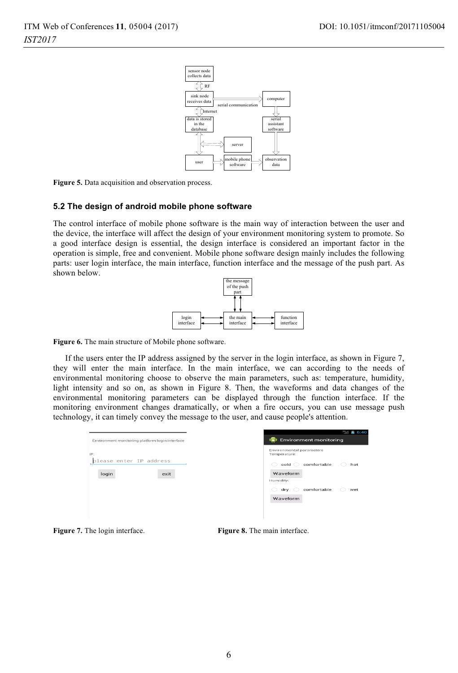

Figure 5. Data acquisition and observation process.

#### **5.2 The design of android mobile phone software**

The control interface of mobile phone software is the main way of interaction between the user and the device, the interface will affect the design of your environment monitoring system to promote. So a good interface design is essential, the design interface is considered an important factor in the operation is simple, free and convenient. Mobile phone software design mainly includes the following parts: user login interface, the main interface, function interface and the message of the push part. As shown below.



Figure 6. The main structure of Mobile phone software.

If the users enter the IP address assigned by the server in the login interface, as shown in Figure 7, they will enter the main interface. In the main interface, we can according to the needs of environmental monitoring choose to observe the main parameters, such as: temperature, humidity, light intensity and so on, as shown in Figure 8. Then, the waveforms and data changes of the environmental monitoring parameters can be displayed through the function interface. If the monitoring environment changes dramatically, or when a fire occurs, you can use message push technology, it can timely convey the message to the user, and cause people's attention.

| $-6.40$                                  |
|------------------------------------------|
| <b>Environment monitoring</b>            |
| Environmental parameters<br>Temperature: |
| comfortable<br>cold<br>hot               |
| Waveform                                 |
| Humidity:                                |
| comfortable<br>dry<br>wet                |
| Waveform                                 |
|                                          |
|                                          |
|                                          |

**Figure 7.** The login interface. **Figure 8.** The main interface.